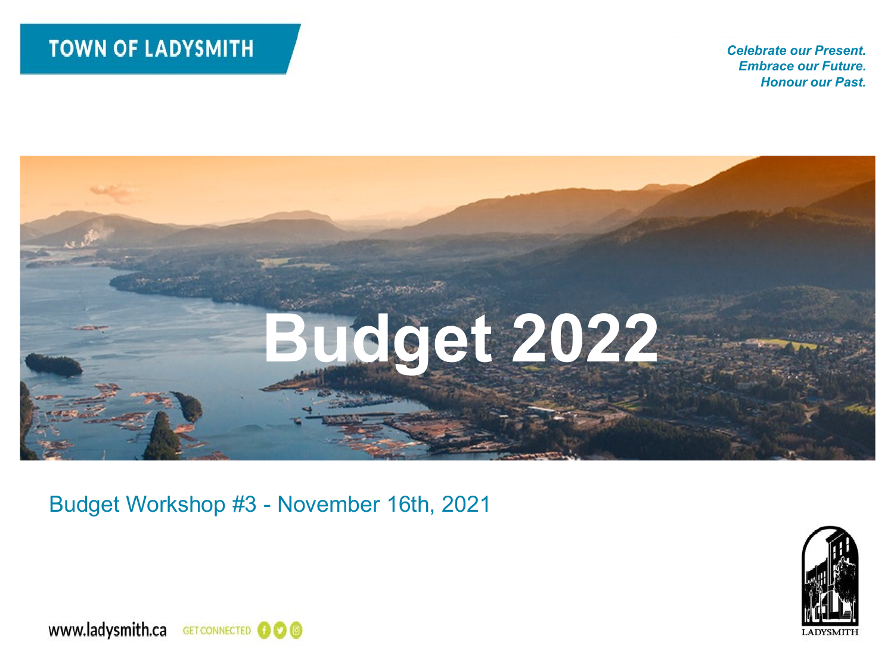*Celebrate our Present. Embrace our Future. Honour our Past.*



Budget Workshop #3 - November 16th, 2021



www.ladysmith.ca GET CONNECTED (1) 0 @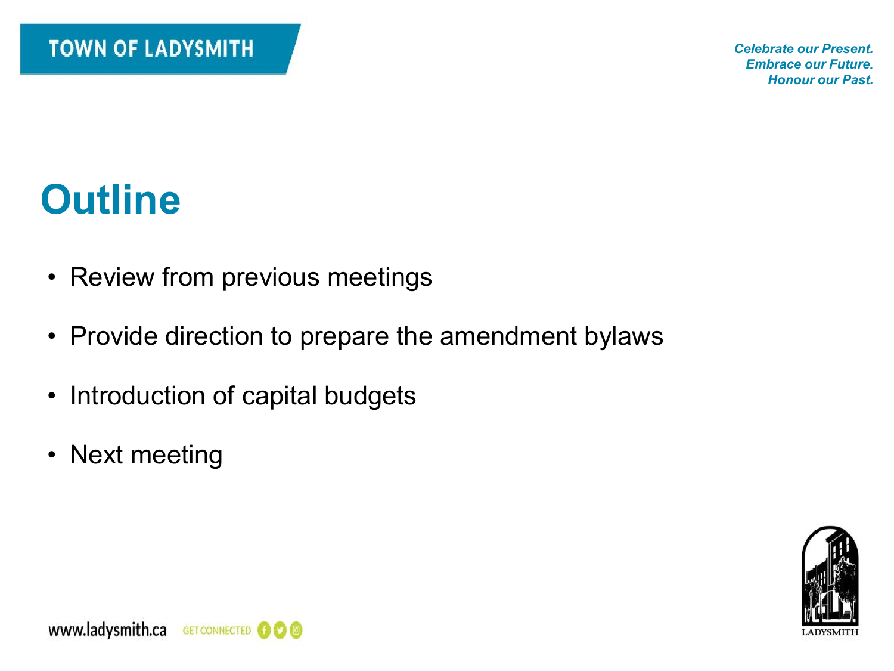*Celebrate our Present. Embrace our Future. Honour our Past.*

## **Outline**

- Review from previous meetings
- Provide direction to prepare the amendment bylaws
- Introduction of capital budgets
- Next meeting



www.ladysmith.ca GET CONNECTED 10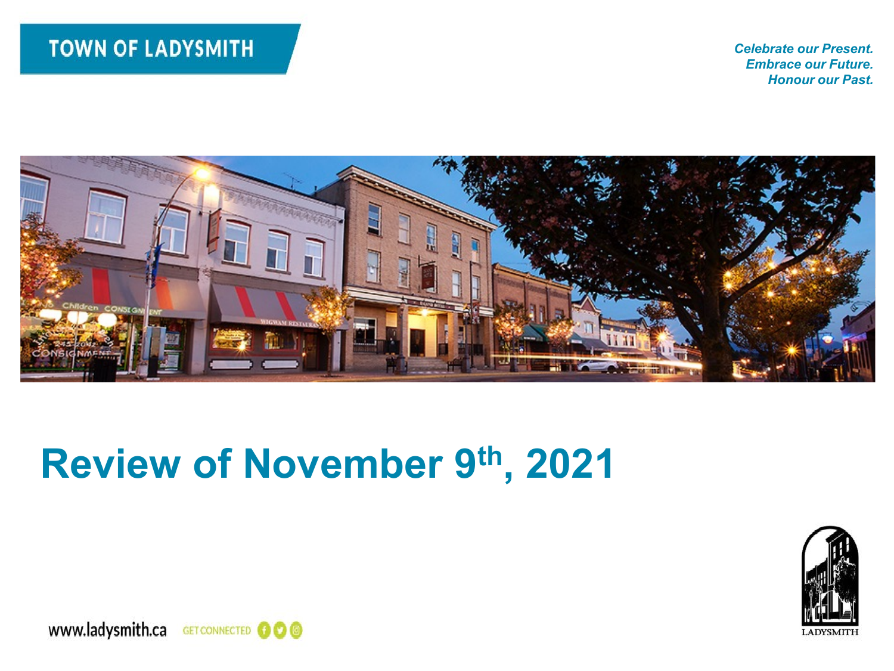*Celebrate our Present. Embrace our Future. Honour our Past.*



## **Review of November 9th , 2021**



WWW.ladysmith.ca GET CONNECTED OO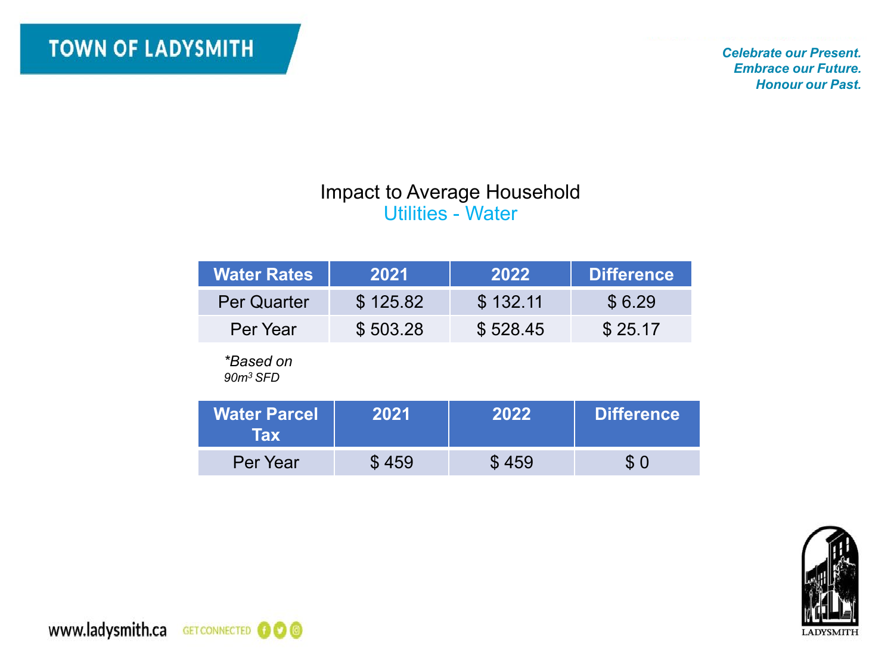*Celebrate our Present. Embrace our Future. Honour our Past.*

#### Impact to Average Household Utilities - Water

| <b>Water Rates</b>         | 2021     | 2022     | <b>Difference</b> |
|----------------------------|----------|----------|-------------------|
| <b>Per Quarter</b>         | \$125.82 | \$132.11 | \$6.29            |
| Per Year                   | \$503.28 | \$528.45 | \$25.17           |
| *Based on<br>$90m3$ SFD    |          |          |                   |
| <b>Water Parcel</b><br>Tax | 2021     | 2022     | <b>Difference</b> |
| Per Year                   | \$459    | \$459    | \$0               |



WWW.ladysmith.ca GET CONNECTED OOO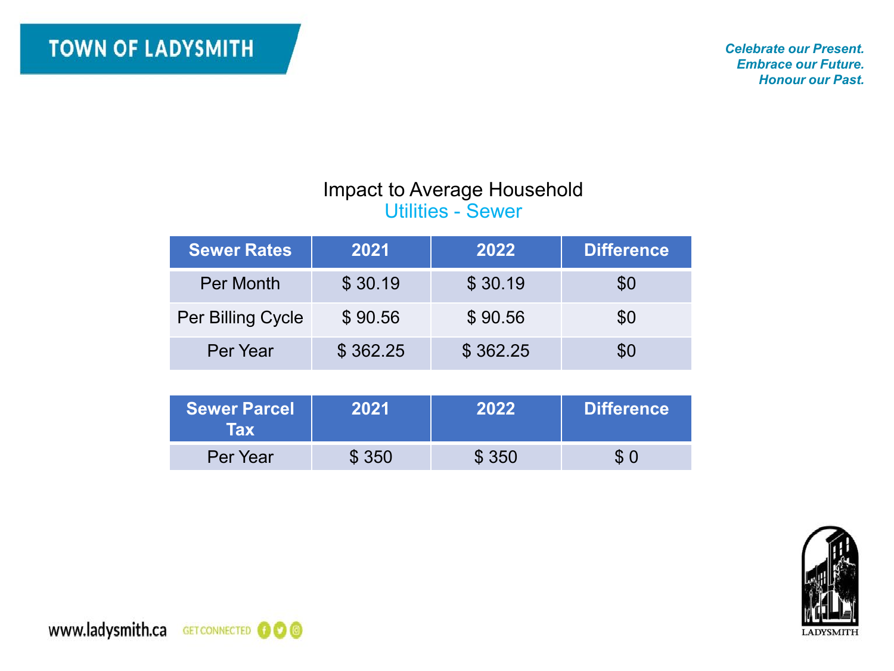*Celebrate our Present. Embrace our Future. Honour our Past.*

#### Impact to Average Household Utilities - Sewer

| <b>Sewer Rates</b>                | 2021     | 2022     | <b>Difference</b> |
|-----------------------------------|----------|----------|-------------------|
| Per Month                         | \$30.19  | \$30.19  | \$0               |
| <b>Per Billing Cycle</b>          | \$90.56  | \$90.56  | \$0               |
| Per Year                          | \$362.25 | \$362.25 | \$0               |
|                                   |          |          |                   |
| <b>Sewer Parcel</b><br><b>Tax</b> | 2021     | 2022     | <b>Difference</b> |
| Per Year                          | \$350    | \$350    | \$0               |



WWW.ladysmith.ca GET CONNECTED OOO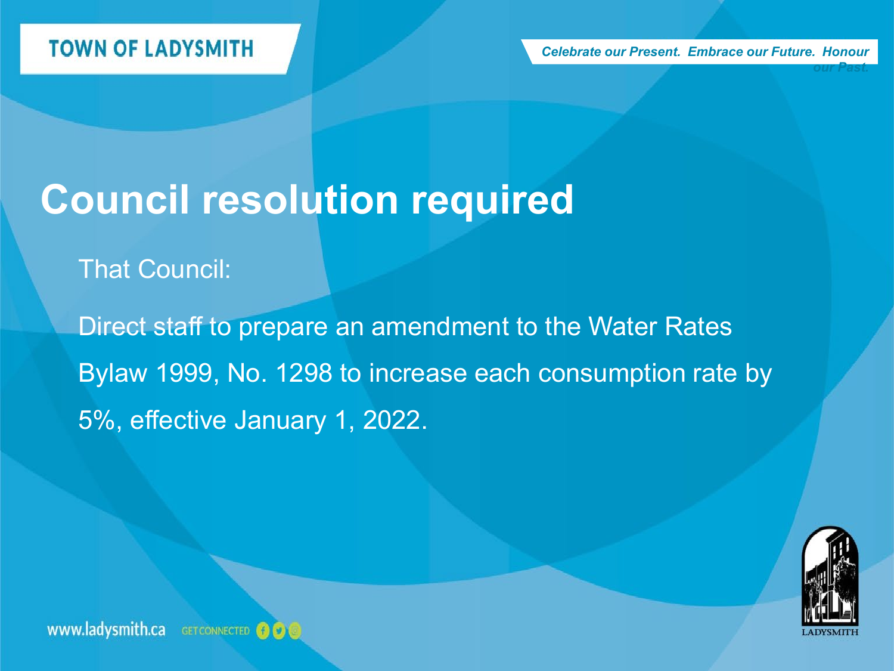*Celebrate our Present. Embrace our Future. Honour our Past.*

## **Council resolution required**

That Council:

Direct staff to prepare an amendment to the Water Rates Bylaw 1999, No. 1298 to increase each consumption rate by 5%, effective January 1, 2022.



www.ladysmith.ca GET CONNECTED **1**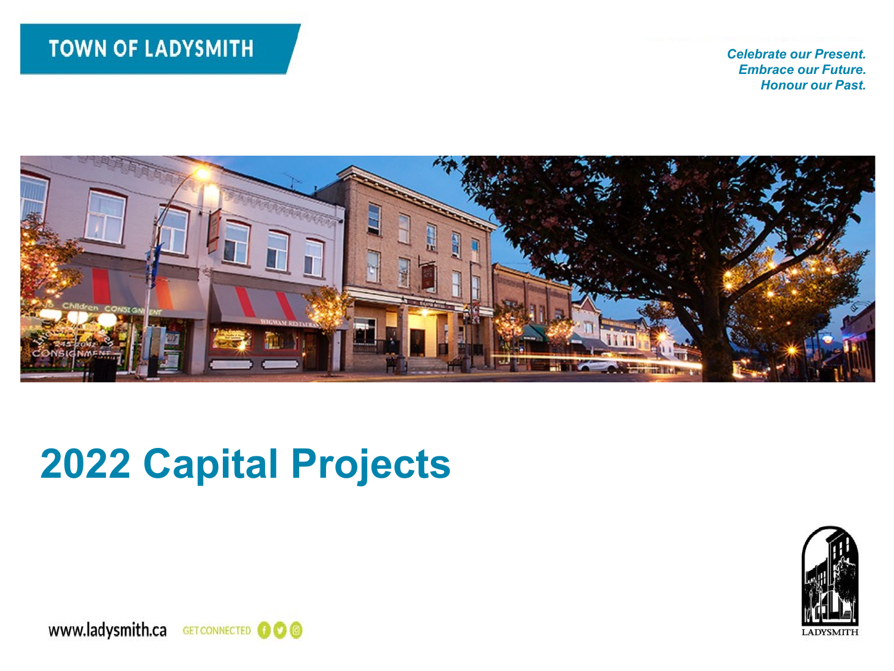*Celebrate our Present. Embrace our Future. Honour our Past.*



# **2022 Capital Projects**



www.ladysmith.ca GET CONNECTED (1) 3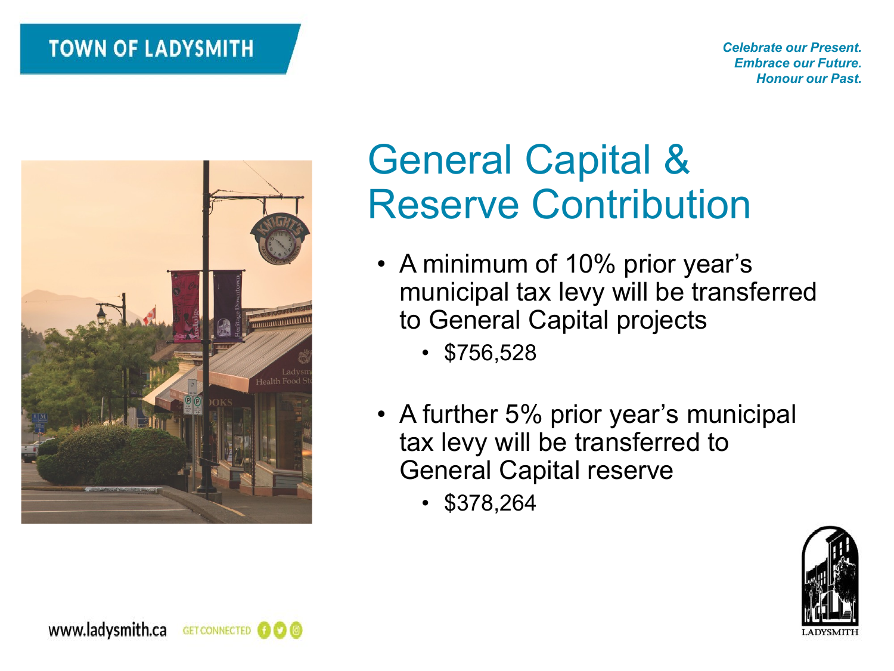*Celebrate our Present. Embrace our Future. Honour our Past.*



## General Capital & Reserve Contribution

- A minimum of 10% prior year's municipal tax levy will be transferred to General Capital projects
	- \$756,528
- A further 5% prior year's municipal tax levy will be transferred to General Capital reserve
	- \$378,264

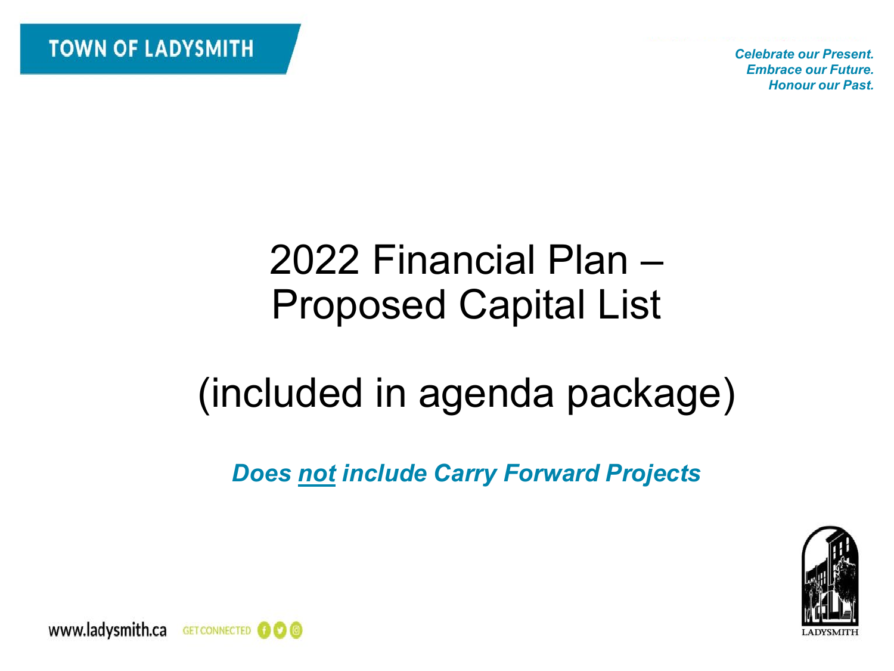## 2022 Financial Plan – Proposed Capital List

# (included in agenda package)

*Does not include Carry Forward Projects*



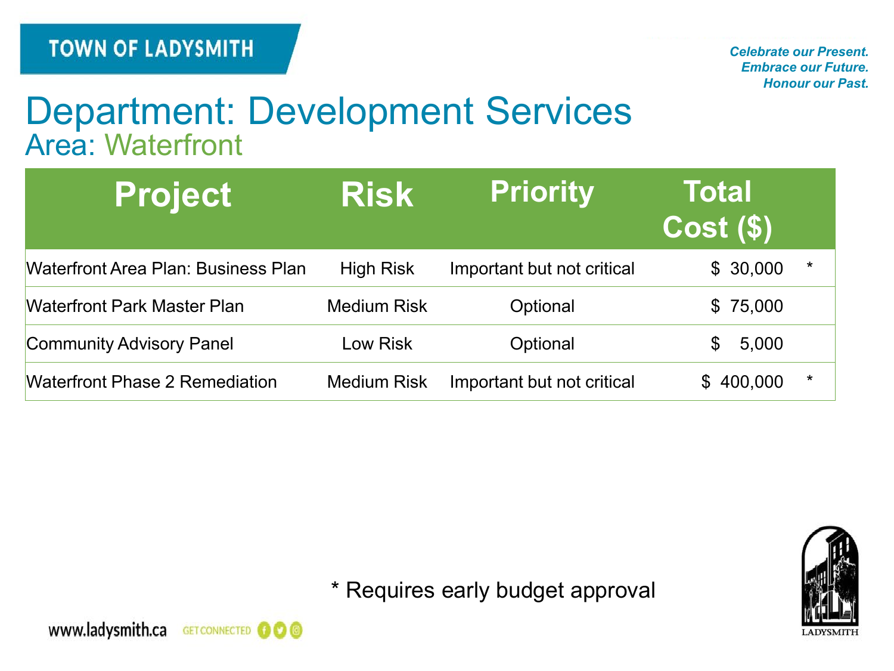www.ladysmith.ca

GET CONNECTED **OO** 

### Department: Development Services Area: Waterfront

| <b>Project</b>                             | <b>Risk</b>        | <b>Priority</b>            | <b>Total</b><br><b>Cost (\$)</b> |         |
|--------------------------------------------|--------------------|----------------------------|----------------------------------|---------|
| <b>Waterfront Area Plan: Business Plan</b> | <b>High Risk</b>   | Important but not critical | \$30,000                         | $\star$ |
| <b>Waterfront Park Master Plan</b>         | <b>Medium Risk</b> | Optional                   | \$75,000                         |         |
| Community Advisory Panel                   | <b>Low Risk</b>    | Optional                   | 5,000<br>\$                      |         |
| Waterfront Phase 2 Remediation             | <b>Medium Risk</b> | Important but not critical | \$400,000                        | $\star$ |

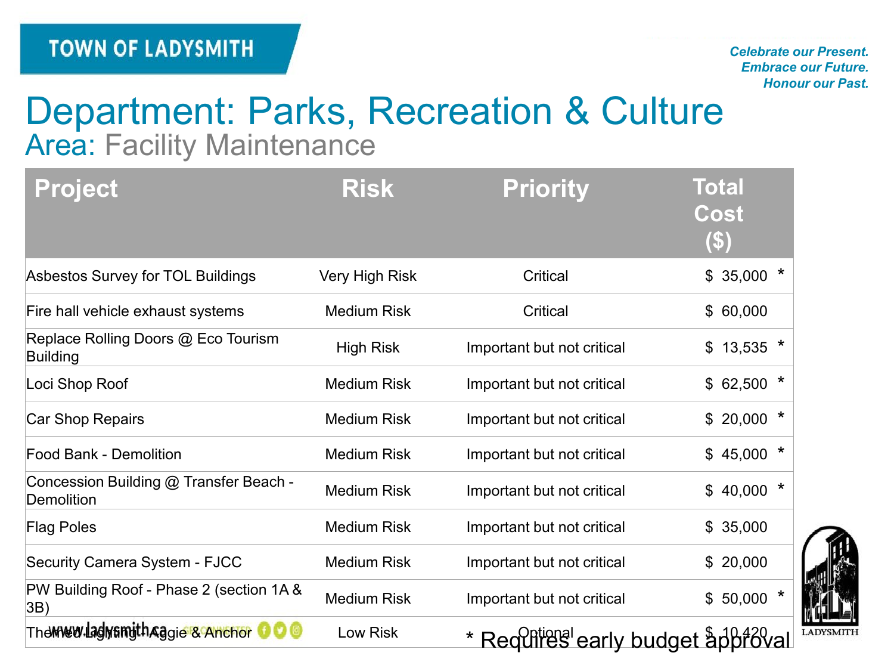### Department: Parks, Recreation & Culture Area: Facility Maintenance

| <b>Project</b>                                              | <b>Risk</b>        | <b>Priority</b>                  | <b>Total</b><br>Cost<br>$\left( \text{\$}\right)$ |
|-------------------------------------------------------------|--------------------|----------------------------------|---------------------------------------------------|
| Asbestos Survey for TOL Buildings                           | Very High Risk     | Critical                         | $\ast$<br>\$35,000                                |
| Fire hall vehicle exhaust systems                           | <b>Medium Risk</b> | Critical                         | \$60,000                                          |
| Replace Rolling Doors @ Eco Tourism<br><b>Building</b>      | <b>High Risk</b>   | Important but not critical       | $13,535$ *<br>\$                                  |
| Loci Shop Roof                                              | <b>Medium Risk</b> | Important but not critical       | $^\star$<br>\$62,500                              |
| <b>Car Shop Repairs</b>                                     | <b>Medium Risk</b> | Important but not critical       | *<br>\$20,000                                     |
| <b>Food Bank - Demolition</b>                               | <b>Medium Risk</b> | Important but not critical       | $\ast$<br>45,000<br>\$                            |
| Concession Building @ Transfer Beach -<br><b>Demolition</b> | <b>Medium Risk</b> | Important but not critical       | $\ast$<br>40,000<br>\$                            |
| <b>Flag Poles</b>                                           | <b>Medium Risk</b> | Important but not critical       | 35,000<br>\$                                      |
| <b>Security Camera System - FJCC</b>                        | <b>Medium Risk</b> | Important but not critical       | \$20,000                                          |
| PW Building Roof - Phase 2 (section 1A &<br>3B)             | <b>Medium Risk</b> | Important but not critical       | $\star$<br>\$50,000                               |
| The Mew Ladwamith Addie & Anchor OOO                        | Low Risk           | * Requires early budget approval |                                                   |

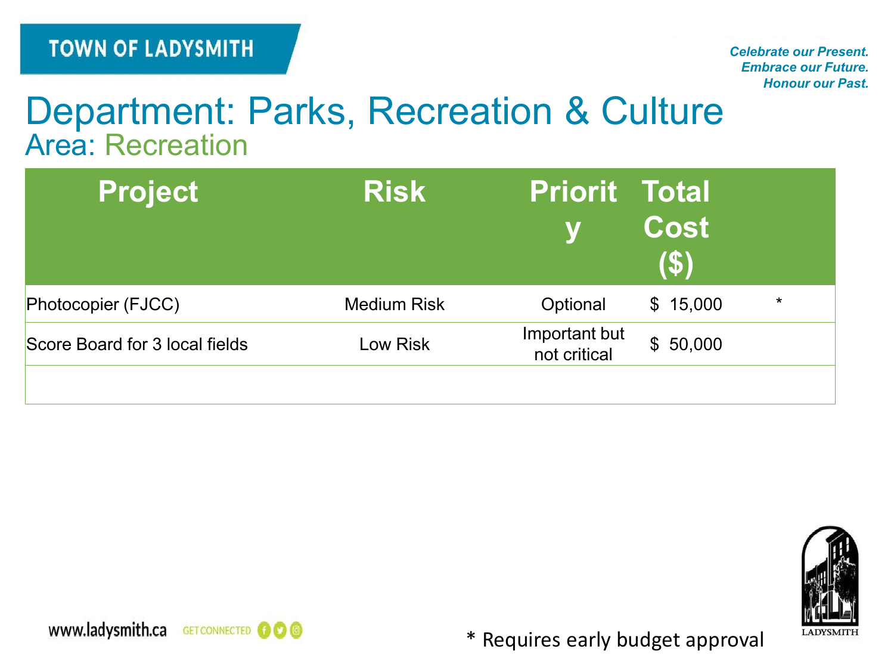### Department: Parks, Recreation & Culture Area: Recreation

| <b>Project</b>                 | <b>Risk</b>        | <b>Priorit Total</b><br>W     | Cost<br>( \$) |         |
|--------------------------------|--------------------|-------------------------------|---------------|---------|
| Photocopier (FJCC)             | <b>Medium Risk</b> | Optional                      | \$15,000      | $\star$ |
| Score Board for 3 local fields | Low Risk           | Important but<br>not critical | \$50,000      |         |
|                                |                    |                               |               |         |



www.ladysmith.ca GET CONNECTED 100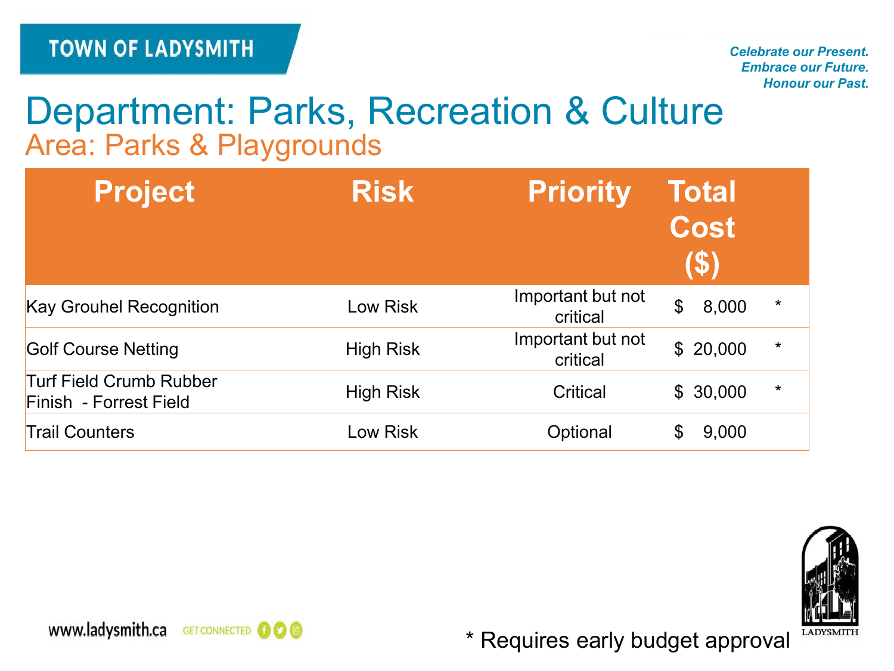### Department: Parks, Recreation & Culture Area: Parks & Playgrounds

| <b>Project</b>                                    | <b>Risk</b>      | <b>Priority</b>               | <b>Total</b><br><b>Cost</b><br>$($ \$)        |
|---------------------------------------------------|------------------|-------------------------------|-----------------------------------------------|
| <b>Kay Grouhel Recognition</b>                    | <b>Low Risk</b>  | Important but not<br>critical | $\star$<br>$\boldsymbol{\mathsf{S}}$<br>8,000 |
| <b>Golf Course Netting</b>                        | <b>High Risk</b> | Important but not<br>critical | $\star$<br>\$20,000                           |
| Turf Field Crumb Rubber<br>Finish - Forrest Field | <b>High Risk</b> | Critical                      | $\star$<br>\$30,000                           |
| <b>Trail Counters</b>                             | Low Risk         | Optional                      | 9,000<br>\$                                   |



www.ladysmith.ca GET CONNECTED 100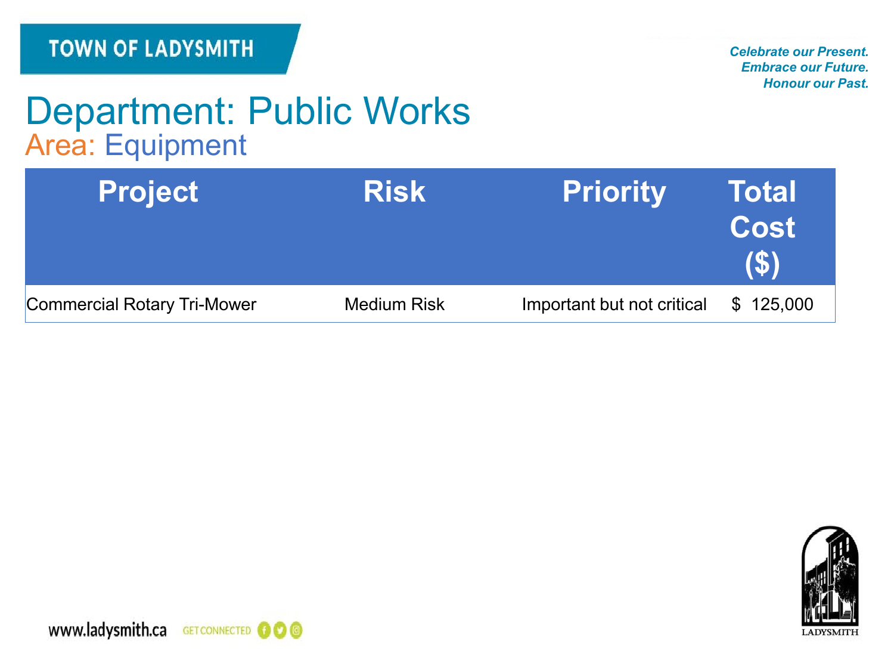*Celebrate our Present. Embrace our Future. Honour our Past.*

### Department: Public Works Area: Equipment

| <b>Project</b>                     | <b>Risk</b>        | <b>Priority</b>            | <b>Total</b><br>Cost<br>(S) |
|------------------------------------|--------------------|----------------------------|-----------------------------|
| <b>Commercial Rotary Tri-Mower</b> | <b>Medium Risk</b> | Important but not critical | \$125,000                   |



WWW.ladysmith.ca GET CONNECTED OO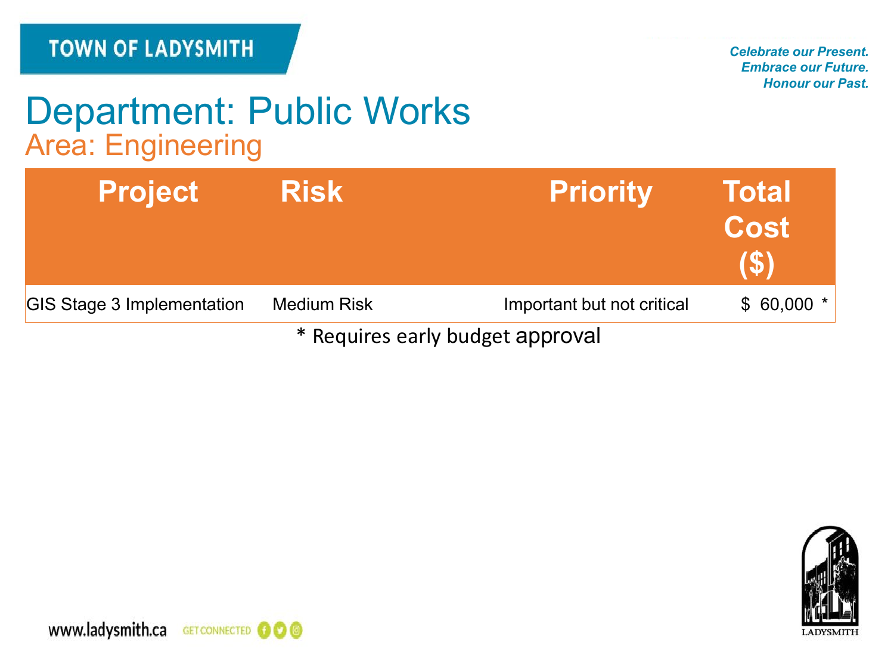*Celebrate our Present. Embrace our Future. Honour our Past.*

### Department: Public Works Area: Engineering

| <b>Project</b>                    | <b>Risk</b>        | <b>Priority</b>                  | <b>Total</b><br>Cost<br>(S) |
|-----------------------------------|--------------------|----------------------------------|-----------------------------|
| <b>GIS Stage 3 Implementation</b> | <b>Medium Risk</b> | Important but not critical       | $$60,000*$                  |
|                                   |                    | * Requires early budget approval |                             |



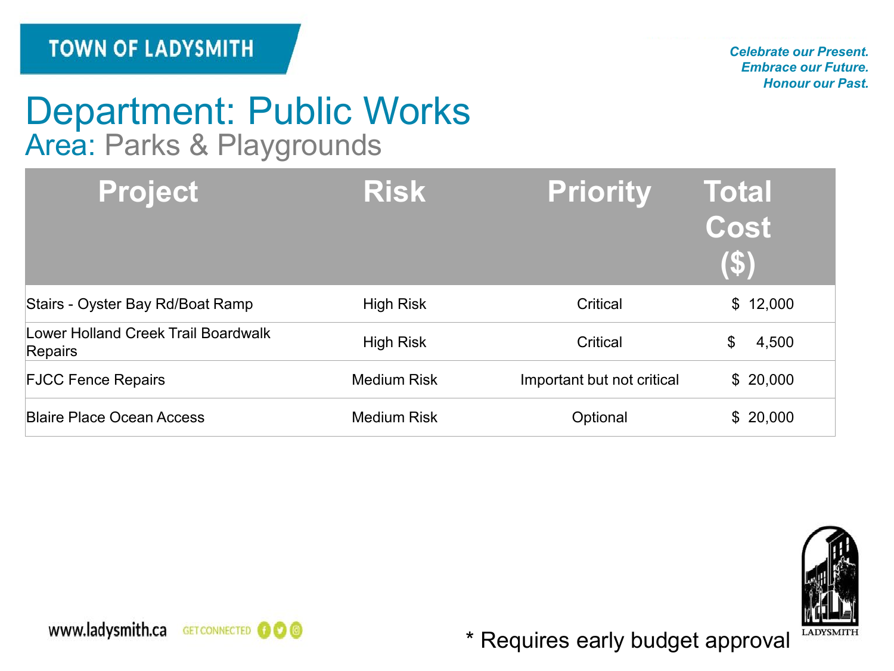### Department: Public Works Area: Parks & Playgrounds

| <b>Project</b>                                 | <b>Risk</b>        | <b>Priority</b>            | Total<br>Cost      |
|------------------------------------------------|--------------------|----------------------------|--------------------|
|                                                |                    |                            | $\boldsymbol{S}()$ |
| Stairs - Oyster Bay Rd/Boat Ramp               | <b>High Risk</b>   | Critical                   | \$12,000           |
| Lower Holland Creek Trail Boardwalk<br>Repairs | <b>High Risk</b>   | Critical                   | 4,500<br>\$        |
| <b>FJCC Fence Repairs</b>                      | <b>Medium Risk</b> | Important but not critical | \$20,000           |
| <b>Blaire Place Ocean Access</b>               | <b>Medium Risk</b> | Optional                   | \$20,000           |



www.ladysmith.ca GET CONNECTED 100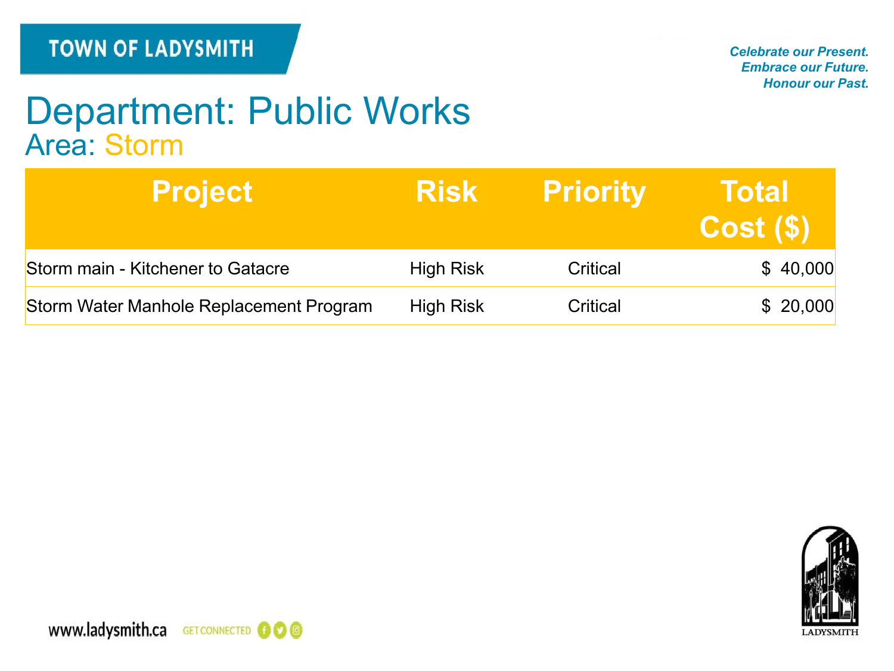*Celebrate our Present. Embrace our Future. Honour our Past.*

### Department: Public Works Area: Storm

| <b>Project</b>                          | <b>Risk</b>      | <b>Priority</b> | <b>Total</b><br>$Cost($ \$) |
|-----------------------------------------|------------------|-----------------|-----------------------------|
| Storm main - Kitchener to Gatacre       | <b>High Risk</b> | Critical        | \$40,000                    |
| Storm Water Manhole Replacement Program | <b>High Risk</b> | Critical        | \$20,000                    |



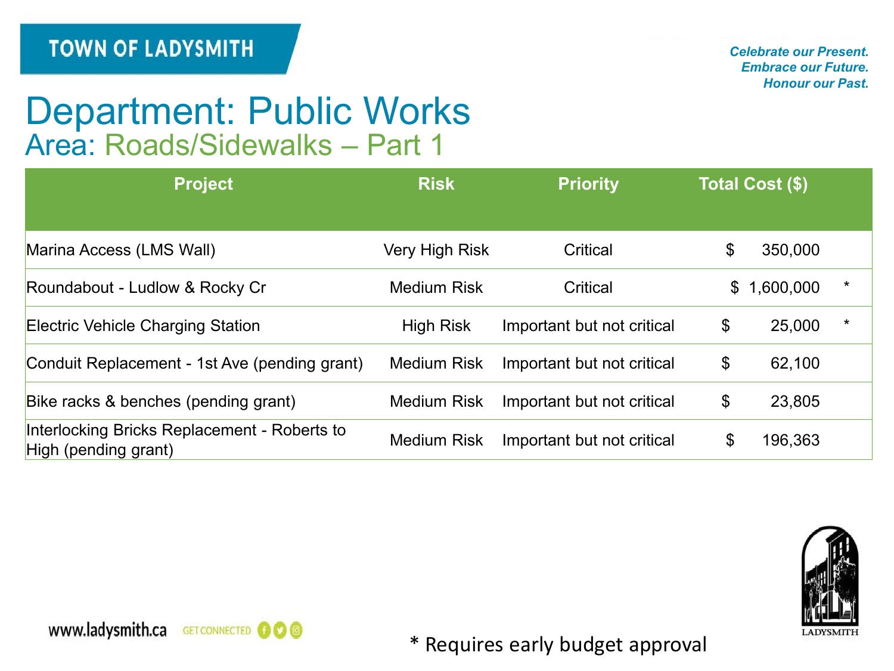### Department: Public Works Area: Roads/Sidewalks – Part 1

| <b>Project</b>                                                       | <b>Risk</b>        | <b>Priority</b>            | Total Cost (\$) |          |
|----------------------------------------------------------------------|--------------------|----------------------------|-----------------|----------|
| Marina Access (LMS Wall)                                             | Very High Risk     | Critical                   | \$<br>350,000   |          |
| Roundabout - Ludlow & Rocky Cr                                       | <b>Medium Risk</b> | Critical                   | \$<br>1,600,000 | $^\star$ |
| <b>Electric Vehicle Charging Station</b>                             | <b>High Risk</b>   | Important but not critical | \$<br>25,000    | $^\star$ |
| Conduit Replacement - 1st Ave (pending grant)                        | <b>Medium Risk</b> | Important but not critical | \$<br>62,100    |          |
| Bike racks & benches (pending grant)                                 | <b>Medium Risk</b> | Important but not critical | \$<br>23,805    |          |
| Interlocking Bricks Replacement - Roberts to<br>High (pending grant) | <b>Medium Risk</b> | Important but not critical | \$<br>196,363   |          |



www.ladysmith.ca GET CONNECTED 100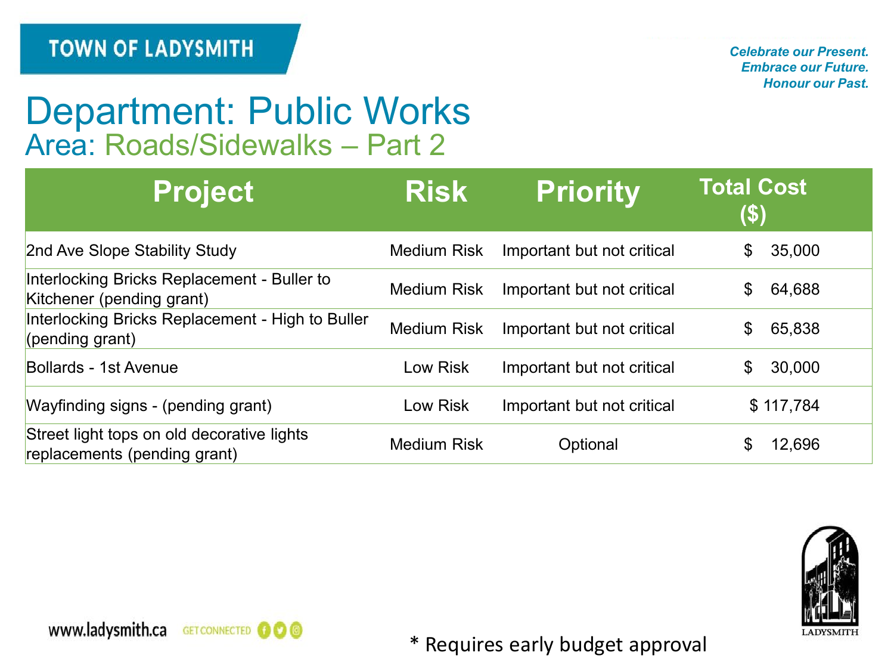### Department: Public Works Area: Roads/Sidewalks – Part 2

| <b>Project</b>                                                             | <b>Risk</b>        | <b>Priority</b>            | <b>Total Cost</b><br>(\$) |
|----------------------------------------------------------------------------|--------------------|----------------------------|---------------------------|
| 2nd Ave Slope Stability Study                                              | Medium Risk        | Important but not critical | 35,000<br>\$              |
| Interlocking Bricks Replacement - Buller to<br>Kitchener (pending grant)   | Medium Risk        | Important but not critical | 64,688<br>\$              |
| Interlocking Bricks Replacement - High to Buller<br>(pending grant)        | Medium Risk        | Important but not critical | 65,838<br>\$              |
| Bollards - 1st Avenue                                                      | Low Risk           | Important but not critical | 30,000<br>\$              |
| Wayfinding signs - (pending grant)                                         | Low Risk           | Important but not critical | \$117,784                 |
| Street light tops on old decorative lights<br>replacements (pending grant) | <b>Medium Risk</b> | Optional                   | 12,696<br>\$              |



www.ladysmith.ca GET CONNECTED 100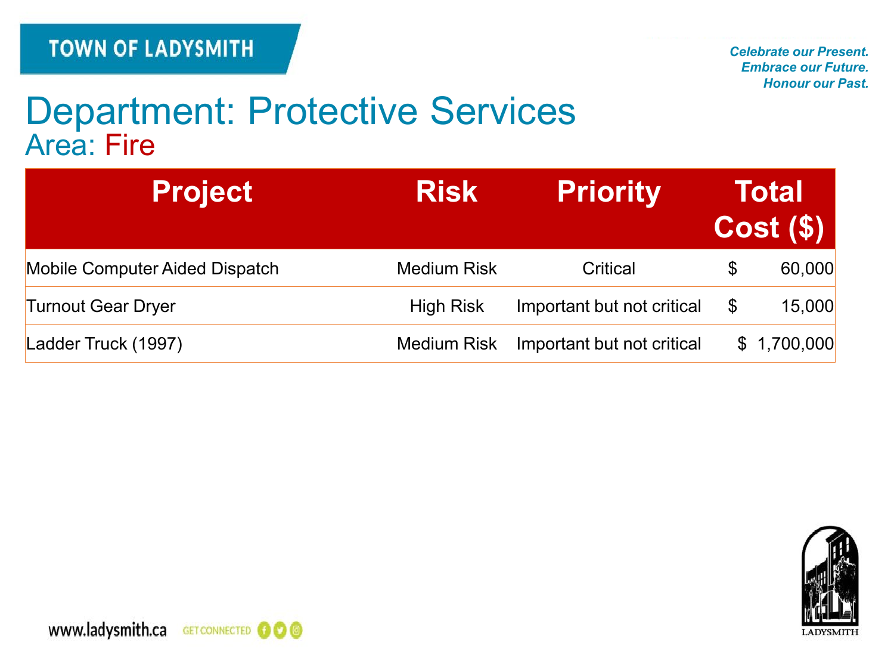### Department: Protective Services Area: Fire

| <b>Project</b>                        | <b>Risk</b>        | <b>Priority</b>            | <b>Total</b> | <b>Cost (\$)</b> |
|---------------------------------------|--------------------|----------------------------|--------------|------------------|
| <b>Mobile Computer Aided Dispatch</b> | <b>Medium Risk</b> | Critical                   | \$           | 60,000           |
| <b>Turnout Gear Dryer</b>             | <b>High Risk</b>   | Important but not critical | \$           | 15,000           |
| Ladder Truck (1997)                   | <b>Medium Risk</b> | Important but not critical |              | \$1,700,000      |



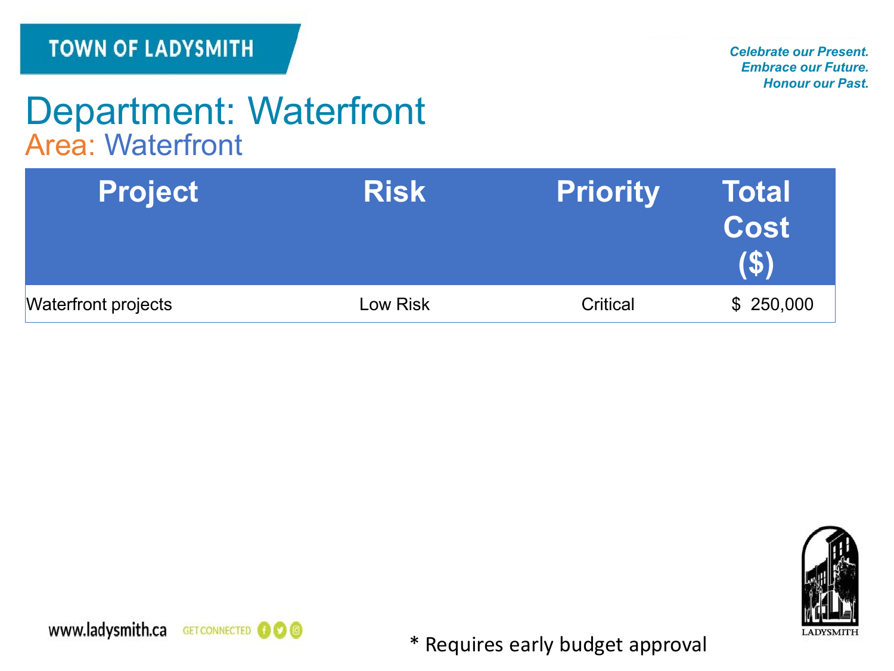*Celebrate our Present. Embrace our Future. Honour our Past.*

### Department: Waterfront Area: Waterfront

| <b>Project</b>             | <b>Risk</b> | <b>Priority</b> | Total<br><b>Cost</b><br>(5) |
|----------------------------|-------------|-----------------|-----------------------------|
| <b>Waterfront projects</b> | Low Risk    | Critical        | \$250,000                   |



WWW.ladysmith.ca GET CONNECTED OO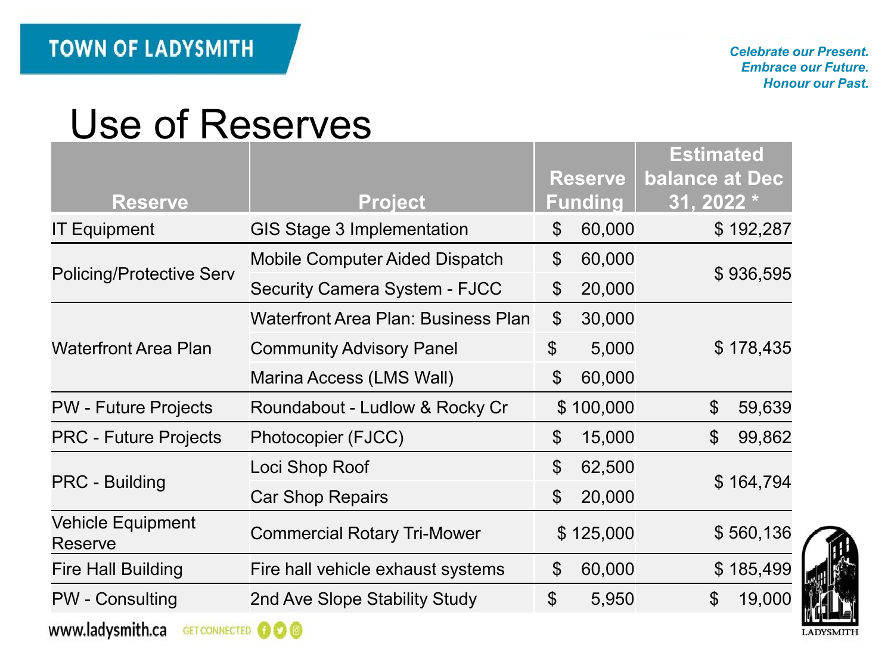## Use of Reserves

|                                            |                                       |                           |                | Estimated                           |
|--------------------------------------------|---------------------------------------|---------------------------|----------------|-------------------------------------|
|                                            |                                       |                           | <b>Reserve</b> | balance at Dec                      |
| <b>Reserve</b>                             | <b>Project</b>                        |                           | <b>Funding</b> | $31,2022*$                          |
| <b>IT Equipment</b>                        | <b>GIS Stage 3 Implementation</b>     | \$                        | 60,000         | \$192,287                           |
|                                            | <b>Mobile Computer Aided Dispatch</b> | \$                        | 60,000         | \$936,595                           |
| <b>Policing/Protective Serv</b>            | <b>Security Camera System - FJCC</b>  | $\boldsymbol{\theta}$     | 20,000         |                                     |
|                                            | Waterfront Area Plan: Business Plan   | \$                        | 30,000         |                                     |
| <b>Waterfront Area Plan</b>                | <b>Community Advisory Panel</b>       | \$                        | 5,000          | \$178,435                           |
|                                            | Marina Access (LMS Wall)              | $\boldsymbol{\mathsf{S}}$ | 60,000         |                                     |
| <b>PW</b> - Future Projects                | Roundabout - Ludlow & Rocky Cr        |                           | \$100,000      | $\boldsymbol{\mathsf{S}}$<br>59,639 |
| <b>PRC - Future Projects</b>               | Photocopier (FJCC)                    | \$                        | 15,000         | $\mathfrak{S}$<br>99,862            |
| <b>PRC - Building</b>                      | Loci Shop Roof                        | \$                        | 62,500         |                                     |
|                                            | <b>Car Shop Repairs</b>               | $\boldsymbol{\mathsf{S}}$ | 20,000         | \$164,794                           |
| <b>Vehicle Equipment</b><br><b>Reserve</b> | <b>Commercial Rotary Tri-Mower</b>    |                           | \$125,000      | \$560,136                           |
| <b>Fire Hall Building</b>                  | Fire hall vehicle exhaust systems     | \$                        | 60,000         | \$185,499                           |
| <b>PW</b> - Consulting                     | 2nd Ave Slope Stability Study         | \$                        | 5,950          | \$<br>19,000                        |
|                                            |                                       |                           |                |                                     |



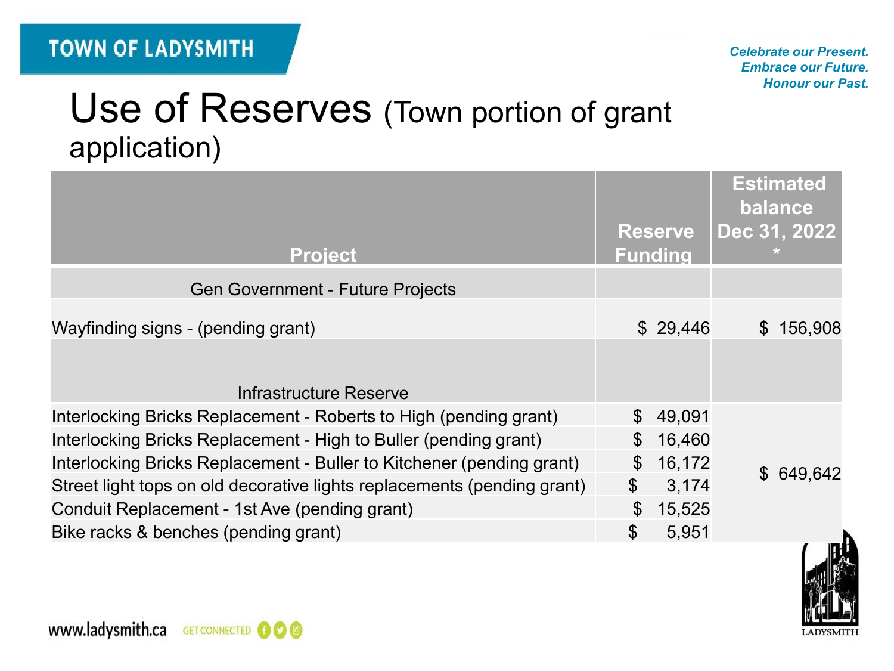### Use of Reserves (Town portion of grant application)

|                                                                         |                           | <b>Reserve</b> | <b>Estimated</b><br>balance<br>Dec 31, 2022 |
|-------------------------------------------------------------------------|---------------------------|----------------|---------------------------------------------|
| <b>Project</b>                                                          |                           | <b>Fundina</b> |                                             |
| <b>Gen Government - Future Projects</b>                                 |                           |                |                                             |
| Wayfinding signs - (pending grant)                                      |                           | \$29,446       | \$156,908                                   |
|                                                                         |                           |                |                                             |
| Infrastructure Reserve                                                  |                           |                |                                             |
| Interlocking Bricks Replacement - Roberts to High (pending grant)       | $\mathfrak{S}$            | 49,091         |                                             |
| Interlocking Bricks Replacement - High to Buller (pending grant)        | \$                        | 16,460         |                                             |
| Interlocking Bricks Replacement - Buller to Kitchener (pending grant)   | \$                        | 16,172         | \$649,642                                   |
| Street light tops on old decorative lights replacements (pending grant) | $\mathfrak{S}$            | 3,174          |                                             |
| Conduit Replacement - 1st Ave (pending grant)                           | \$                        | 15,525         |                                             |
| Bike racks & benches (pending grant)                                    | $\boldsymbol{\mathsf{S}}$ | 5,951          |                                             |

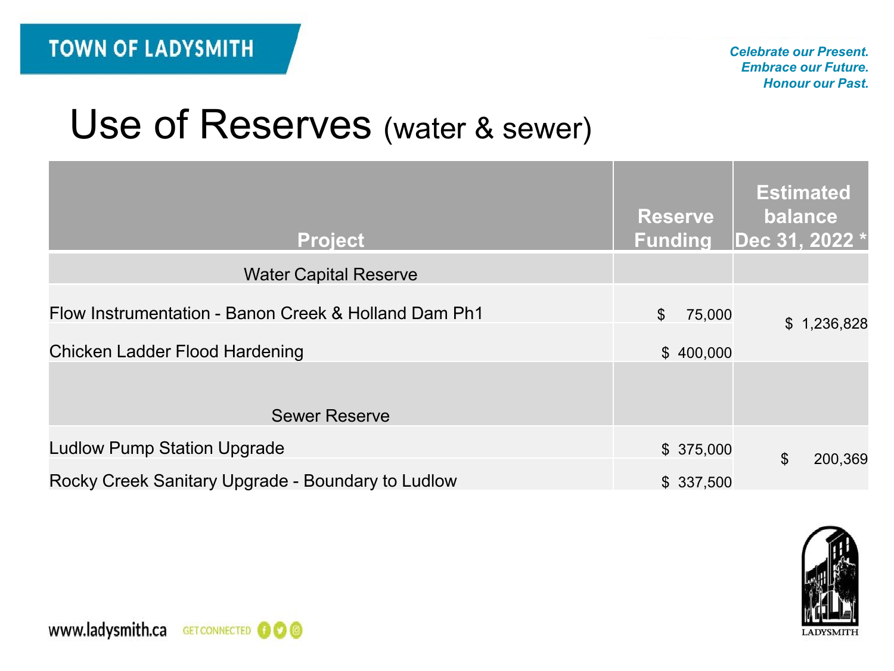## Use of Reserves (water & sewer)

| <b>Project</b>                                                | <b>Reserve</b><br><b>Funding</b> | <b>Estimated</b><br>balance<br>Dec 31, 2022 * |
|---------------------------------------------------------------|----------------------------------|-----------------------------------------------|
| <b>Water Capital Reserve</b>                                  |                                  |                                               |
| Flow Instrumentation - Banon Creek & Holland Dam Ph1          | \$<br>75,000                     | \$1,236,828                                   |
| <b>Chicken Ladder Flood Hardening</b><br><b>Sewer Reserve</b> | \$400,000                        |                                               |
| <b>Ludlow Pump Station Upgrade</b>                            | \$375,000                        | $\mathfrak{L}$<br>200,369                     |
| Rocky Creek Sanitary Upgrade - Boundary to Ludlow             | \$337,500                        |                                               |



WWW.ladysmith.ca GET CONNECTED OO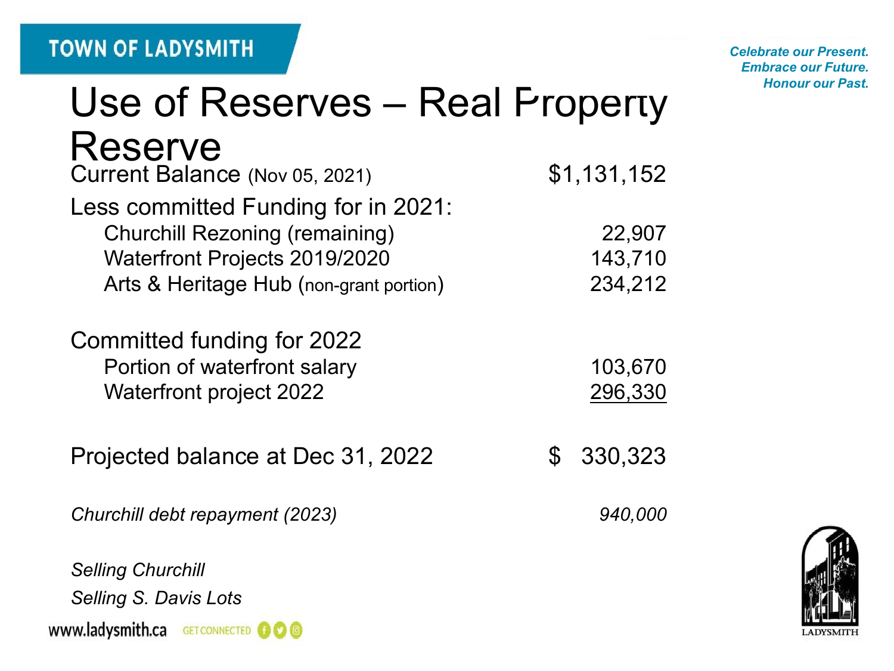*Celebrate our Present. Embrace our Future. Honour our Past.*

| Use of Reserves - Real Property          |                        |
|------------------------------------------|------------------------|
| Reserve                                  |                        |
| Current Balance (Nov 05, 2021)           | \$1,131,152            |
| Less committed Funding for in 2021:      |                        |
| <b>Churchill Rezoning (remaining)</b>    | 22,907                 |
| Waterfront Projects 2019/2020            | 143,710                |
| Arts & Heritage Hub (non-grant portion)  | 234,212                |
| Committed funding for 2022               |                        |
| Portion of waterfront salary             | 103,670                |
| <b>Waterfront project 2022</b>           | 296,330                |
| Projected balance at Dec 31, 2022        | $\mathbb S$<br>330,323 |
| Churchill debt repayment (2023)          | 940,000                |
| <b>Selling Churchill</b>                 |                        |
| Selling S. Davis Lots                    |                        |
| WWW.ladysmith.ca GET CONNECTED <b>OO</b> |                        |

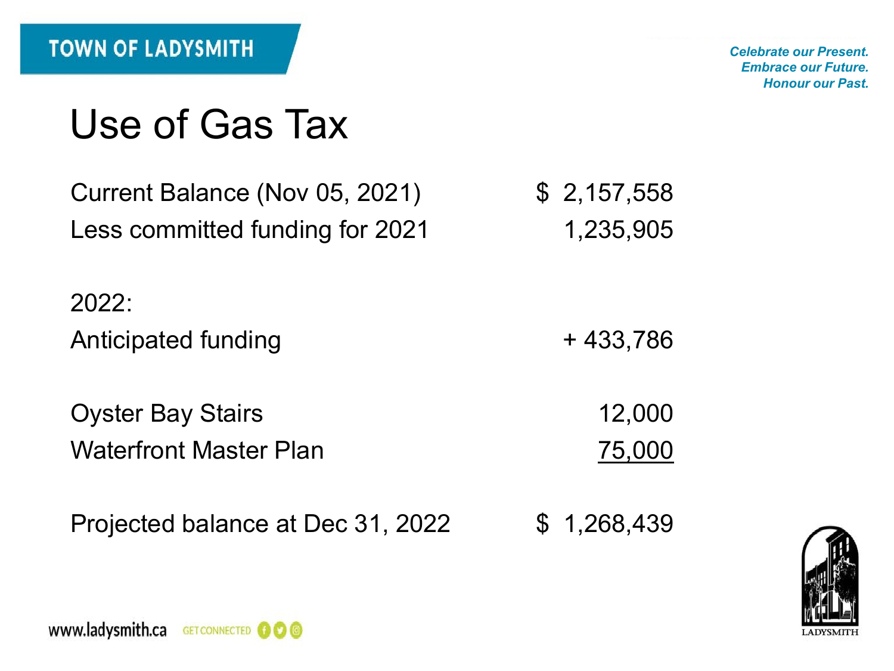## Use of Gas Tax

WWW.ladysmith.ca GET CONNECTED OOO

| Current Balance (Nov 05, 2021)    | \$2,157,558 |
|-----------------------------------|-------------|
| Less committed funding for 2021   | 1,235,905   |
|                                   |             |
| 2022:                             |             |
| Anticipated funding               | +433,786    |
|                                   |             |
| <b>Oyster Bay Stairs</b>          | 12,000      |
| <b>Waterfront Master Plan</b>     | 75,000      |
|                                   |             |
| Projected balance at Dec 31, 2022 | \$1,268,439 |

*Celebrate our Present. Embrace our Future. Honour our Past.*

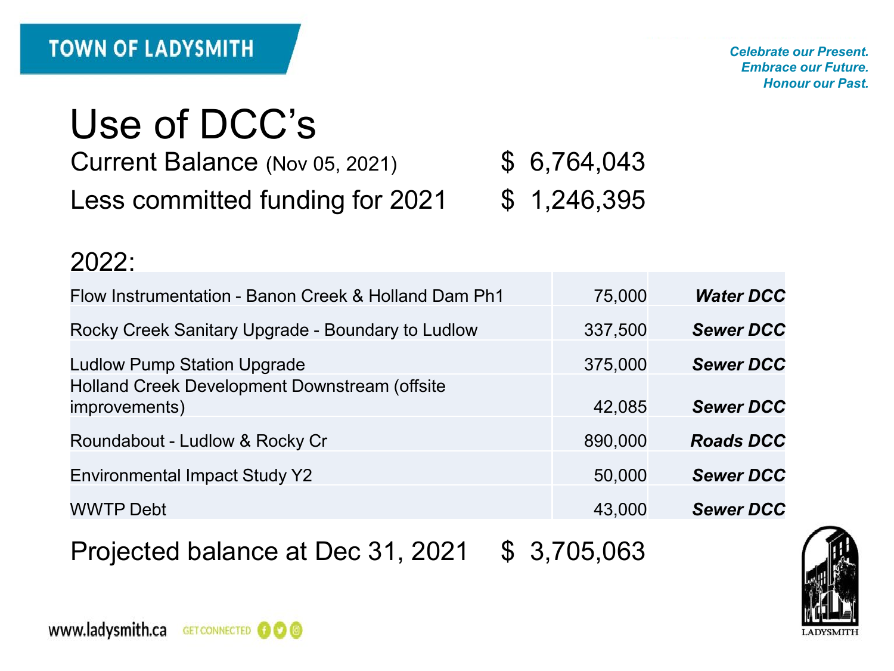*Celebrate our Present. Embrace our Future. Honour our Past.*

## Use of DCC's Current Balance (Nov 05, 2021) \$ 6,764,043 Less committed funding for 2021 \$ 1,246,395

#### 2022:

| Flow Instrumentation - Banon Creek & Holland Dam Ph1 | 75,000  | <b>Water DCC</b> |
|------------------------------------------------------|---------|------------------|
| Rocky Creek Sanitary Upgrade - Boundary to Ludlow    | 337,500 | <b>Sewer DCC</b> |
| <b>Ludlow Pump Station Upgrade</b>                   | 375,000 | <b>Sewer DCC</b> |
| Holland Creek Development Downstream (offsite        |         |                  |
| improvements)                                        | 42,085  | <b>Sewer DCC</b> |
| Roundabout - Ludlow & Rocky Cr                       | 890,000 | <b>Roads DCC</b> |
| Environmental Impact Study Y2                        | 50,000  | <b>Sewer DCC</b> |
| <b>WWTP Debt</b>                                     | 43,000  | <b>Sewer DCC</b> |

Projected balance at Dec 31, 2021 \$ 3,705,063

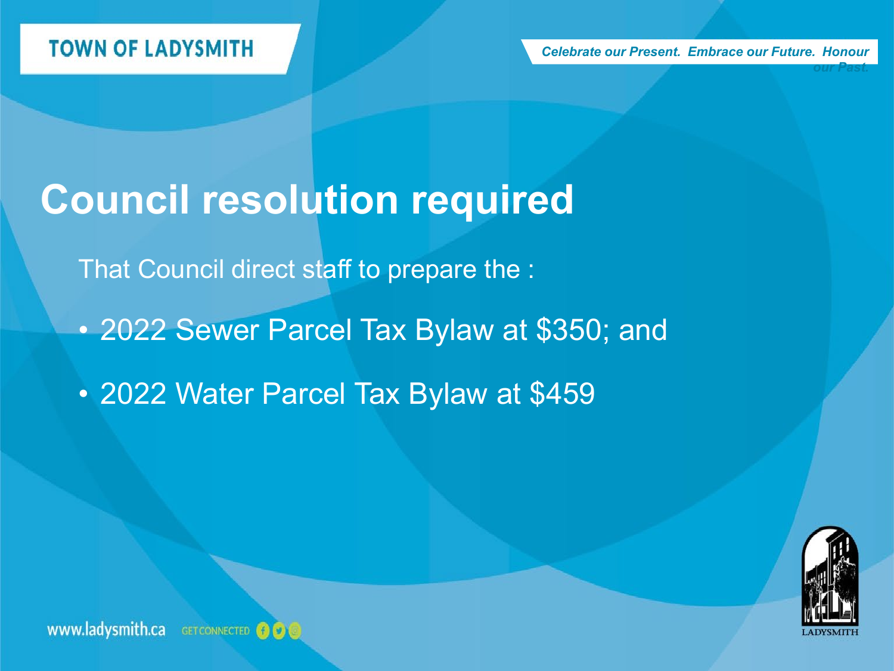*Celebrate our Present. Embrace our Future. Honour our Past.*

## **Council resolution required**

That Council direct staff to prepare the :

- 2022 Sewer Parcel Tax Bylaw at \$350; and
- 2022 Water Parcel Tax Bylaw at \$459



www.ladysmith.ca GET CONNECTED **A**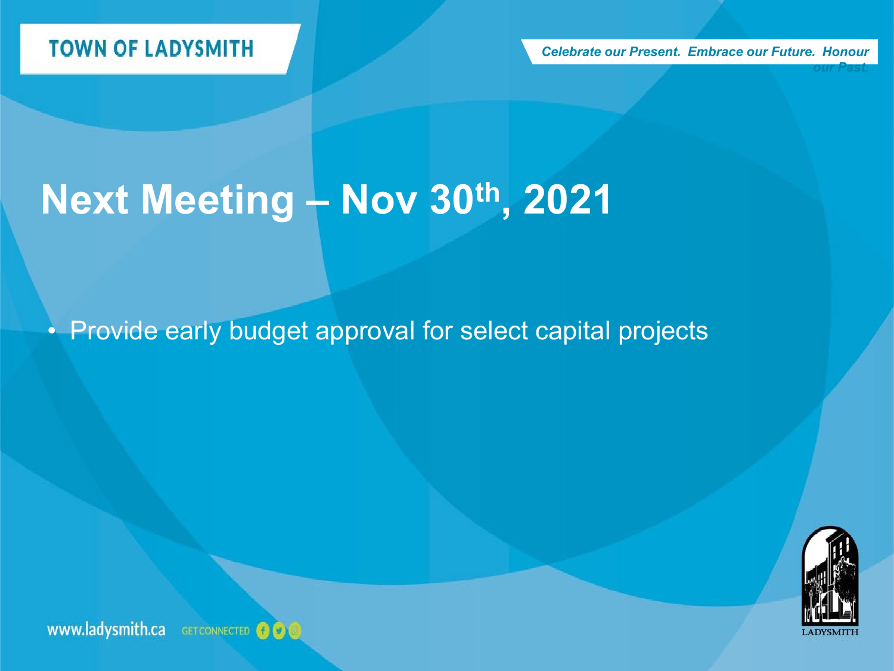*Celebrate our Present. Embrace our Future. Honour our Past.*

## **Next Meeting – Nov 30th, 2021**

• Provide early budget approval for select capital projects



**WWW.ladysmith.ca** GET CONNECTED **CO**